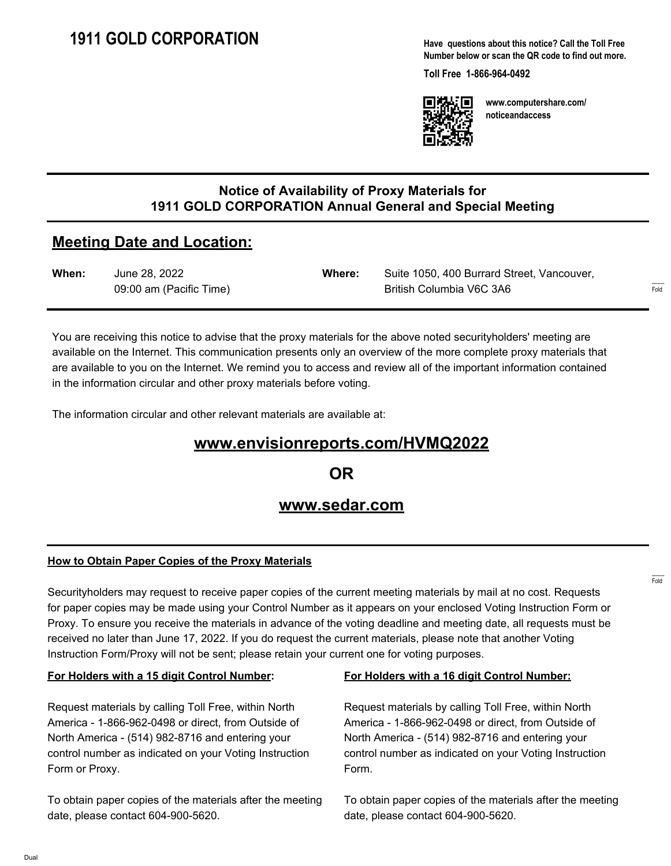**Have questions about this notice? Call the Toll Free Number below or scan the QR code to find out more.**

**Toll Free 1-866-964-0492**



**www.computershare.com/ noticeandaccess**

## **Notice of Availability of Proxy Materials for 1911 GOLD CORPORATION Annual General and Special Meeting**

# **Meeting Date and Location:**

| When: | June 28, 2022           | Where: | Suite 1050, 400 Burrard Street, Vancouver, |
|-------|-------------------------|--------|--------------------------------------------|
|       | 09:00 am (Pacific Time) |        | British Columbia V6C 3A6                   |

You are receiving this notice to advise that the proxy materials for the above noted securityholders' meeting are available on the Internet. This communication presents only an overview of the more complete proxy materials that are available to you on the Internet. We remind you to access and review all of the important information contained in the information circular and other proxy materials before voting.

The information circular and other relevant materials are available at:

# **www.envisionreports.com/HVMQ2022**

**OR**

## **www.sedar.com**

#### **How to Obtain Paper Copies of the Proxy Materials**

Securityholders may request to receive paper copies of the current meeting materials by mail at no cost. Requests for paper copies may be made using your Control Number as it appears on your enclosed Voting Instruction Form or Proxy. To ensure you receive the materials in advance of the voting deadline and meeting date, all requests must be received no later than June 17, 2022. If you do request the current materials, please note that another Voting Instruction Form/Proxy will not be sent; please retain your current one for voting purposes.

#### **For Holders with a 15 digit Control Number:**

Request materials by calling Toll Free, within North America - 1-866-962-0498 or direct, from Outside of North America - (514) 982-8716 and entering your control number as indicated on your Voting Instruction Form or Proxy.

To obtain paper copies of the materials after the meeting date, please contact 604-900-5620.

#### **For Holders with a 16 digit Control Number:**

Request materials by calling Toll Free, within North America - 1-866-962-0498 or direct, from Outside of North America - (514) 982-8716 and entering your control number as indicated on your Voting Instruction Form.

To obtain paper copies of the materials after the meeting date, please contact 604-900-5620.

------- Fold